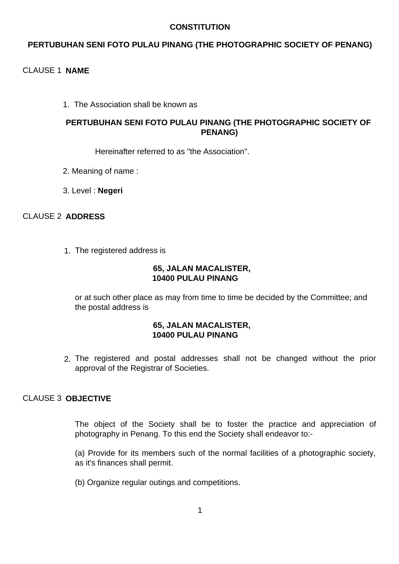## **CONSTITUTION**

# **PERTUBUHAN SENI FOTO PULAU PINANG (THE PHOTOGRAPHIC SOCIETY OF PENANG)**

# CLAUSE 1 **NAME**

1. The Association shall be known as

## **PERTUBUHAN SENI FOTO PULAU PINANG (THE PHOTOGRAPHIC SOCIETY OF PENANG)**

Hereinafter referred to as "the Association".

- 2. Meaning of name :
- 3. Level : **Negeri**

# CLAUSE 2 **ADDRESS**

1. The registered address is

#### **65, JALAN MACALISTER, 10400 PULAU PINANG**

or at such other place as may from time to time be decided by the Committee; and the postal address is

## **65, JALAN MACALISTER, 10400 PULAU PINANG**

2. The registered and postal addresses shall not be changed without the prior approval of the Registrar of Societies.

# CLAUSE 3 **OBJECTIVE**

The object of the Society shall be to foster the practice and appreciation of photography in Penang. To this end the Society shall endeavor to:-

(a) Provide for its members such of the normal facilities of a photographic society, as it's finances shall permit.

(b) Organize regular outings and competitions.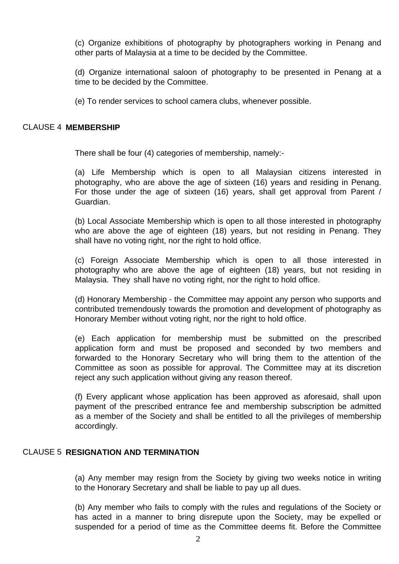(c) Organize exhibitions of photography by photographers working in Penang and other parts of Malaysia at a time to be decided by the Committee.

(d) Organize international saloon of photography to be presented in Penang at a time to be decided by the Committee.

(e) To render services to school camera clubs, whenever possible.

#### CLAUSE 4 **MEMBERSHIP**

There shall be four (4) categories of membership, namely:-

(a) Life Membership which is open to all Malaysian citizens interested in photography, who are above the age of sixteen (16) years and residing in Penang. For those under the age of sixteen (16) years, shall get approval from Parent / Guardian.

(b) Local Associate Membership which is open to all those interested in photography who are above the age of eighteen (18) years, but not residing in Penang. They shall have no voting right, nor the right to hold office.

(c) Foreign Associate Membership which is open to all those interested in photography who are above the age of eighteen (18) years, but not residing in Malaysia. They shall have no voting right, nor the right to hold office.

(d) Honorary Membership - the Committee may appoint any person who supports and contributed tremendously towards the promotion and development of photography as Honorary Member without voting right, nor the right to hold office.

(e) Each application for membership must be submitted on the prescribed application form and must be proposed and seconded by two members and forwarded to the Honorary Secretary who will bring them to the attention of the Committee as soon as possible for approval. The Committee may at its discretion reject any such application without giving any reason thereof.

(f) Every applicant whose application has been approved as aforesaid, shall upon payment of the prescribed entrance fee and membership subscription be admitted as a member of the Society and shall be entitled to all the privileges of membership accordingly.

## CLAUSE 5 **RESIGNATION AND TERMINATION**

(a) Any member may resign from the Society by giving two weeks notice in writing to the Honorary Secretary and shall be liable to pay up all dues.

(b) Any member who fails to comply with the rules and regulations of the Society or has acted in a manner to bring disrepute upon the Society, may be expelled or suspended for a period of time as the Committee deems fit. Before the Committee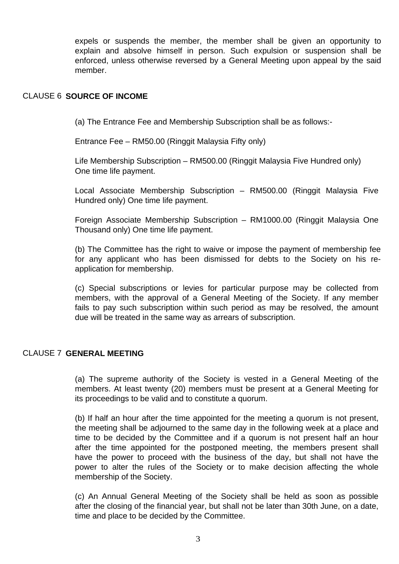expels or suspends the member, the member shall be given an opportunity to explain and absolve himself in person. Such expulsion or suspension shall be enforced, unless otherwise reversed by a General Meeting upon appeal by the said member.

#### CLAUSE 6 **SOURCE OF INCOME**

(a) The Entrance Fee and Membership Subscription shall be as follows:-

Entrance Fee – RM50.00 (Ringgit Malaysia Fifty only)

Life Membership Subscription – RM500.00 (Ringgit Malaysia Five Hundred only) One time life payment.

Local Associate Membership Subscription – RM500.00 (Ringgit Malaysia Five Hundred only) One time life payment.

Foreign Associate Membership Subscription – RM1000.00 (Ringgit Malaysia One Thousand only) One time life payment.

(b) The Committee has the right to waive or impose the payment of membership fee for any applicant who has been dismissed for debts to the Society on his reapplication for membership.

(c) Special subscriptions or levies for particular purpose may be collected from members, with the approval of a General Meeting of the Society. If any member fails to pay such subscription within such period as may be resolved, the amount due will be treated in the same way as arrears of subscription.

## CLAUSE 7 **GENERAL MEETING**

(a) The supreme authority of the Society is vested in a General Meeting of the members. At least twenty (20) members must be present at a General Meeting for its proceedings to be valid and to constitute a quorum.

(b) If half an hour after the time appointed for the meeting a quorum is not present, the meeting shall be adjourned to the same day in the following week at a place and time to be decided by the Committee and if a quorum is not present half an hour after the time appointed for the postponed meeting, the members present shall have the power to proceed with the business of the day, but shall not have the power to alter the rules of the Society or to make decision affecting the whole membership of the Society.

(c) An Annual General Meeting of the Society shall be held as soon as possible after the closing of the financial year, but shall not be later than 30th June, on a date, time and place to be decided by the Committee.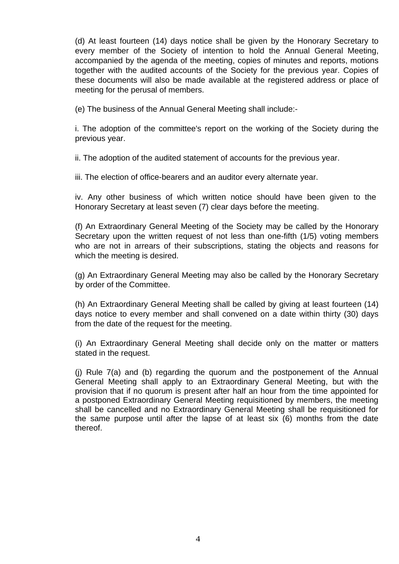(d) At least fourteen (14) days notice shall be given by the Honorary Secretary to every member of the Society of intention to hold the Annual General Meeting, accompanied by the agenda of the meeting, copies of minutes and reports, motions together with the audited accounts of the Society for the previous year. Copies of these documents will also be made available at the registered address or place of meeting for the perusal of members.

(e) The business of the Annual General Meeting shall include:-

i. The adoption of the committee's report on the working of the Society during the previous year.

ii. The adoption of the audited statement of accounts for the previous year.

iii. The election of office-bearers and an auditor every alternate year.

iv. Any other business of which written notice should have been given to the Honorary Secretary at least seven (7) clear days before the meeting.

(f) An Extraordinary General Meeting of the Society may be called by the Honorary Secretary upon the written request of not less than one-fifth (1/5) voting members who are not in arrears of their subscriptions, stating the objects and reasons for which the meeting is desired.

(g) An Extraordinary General Meeting may also be called by the Honorary Secretary by order of the Committee.

(h) An Extraordinary General Meeting shall be called by giving at least fourteen (14) days notice to every member and shall convened on a date within thirty (30) days from the date of the request for the meeting.

(i) An Extraordinary General Meeting shall decide only on the matter or matters stated in the request.

(j) Rule 7(a) and (b) regarding the quorum and the postponement of the Annual General Meeting shall apply to an Extraordinary General Meeting, but with the provision that if no quorum is present after half an hour from the time appointed for a postponed Extraordinary General Meeting requisitioned by members, the meeting shall be cancelled and no Extraordinary General Meeting shall be requisitioned for the same purpose until after the lapse of at least six (6) months from the date thereof.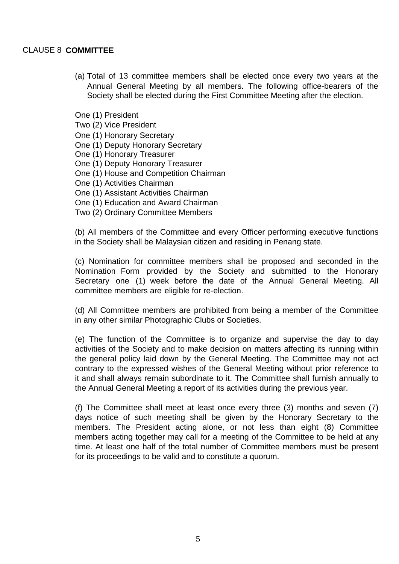#### CLAUSE 8 **COMMITTEE**

(a) Total of 13 committee members shall be elected once every two years at the Annual General Meeting by all members. The following office-bearers of the Society shall be elected during the First Committee Meeting after the election.

One (1) President

Two (2) Vice President

One (1) Honorary Secretary

- One (1) Deputy Honorary Secretary
- One (1) Honorary Treasurer
- One (1) Deputy Honorary Treasurer
- One (1) House and Competition Chairman
- One (1) Activities Chairman
- One (1) Assistant Activities Chairman
- One (1) Education and Award Chairman
- Two (2) Ordinary Committee Members

(b) All members of the Committee and every Officer performing executive functions in the Society shall be Malaysian citizen and residing in Penang state.

(c) Nomination for committee members shall be proposed and seconded in the Nomination Form provided by the Society and submitted to the Honorary Secretary one (1) week before the date of the Annual General Meeting. All committee members are eligible for re-election.

(d) All Committee members are prohibited from being a member of the Committee in any other similar Photographic Clubs or Societies.

(e) The function of the Committee is to organize and supervise the day to day activities of the Society and to make decision on matters affecting its running within the general policy laid down by the General Meeting. The Committee may not act contrary to the expressed wishes of the General Meeting without prior reference to it and shall always remain subordinate to it. The Committee shall furnish annually to the Annual General Meeting a report of its activities during the previous year.

(f) The Committee shall meet at least once every three (3) months and seven (7) days notice of such meeting shall be given by the Honorary Secretary to the members. The President acting alone, or not less than eight (8) Committee members acting together may call for a meeting of the Committee to be held at any time. At least one half of the total number of Committee members must be present for its proceedings to be valid and to constitute a quorum.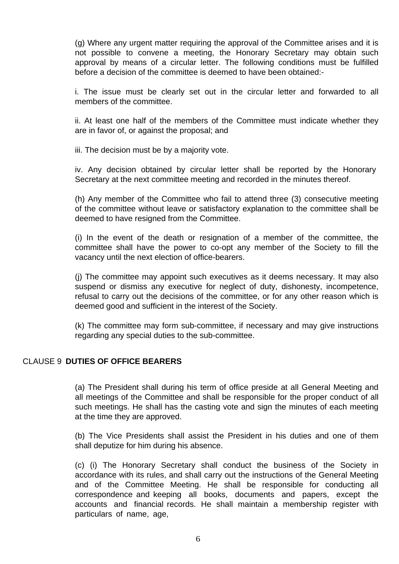(g) Where any urgent matter requiring the approval of the Committee arises and it is not possible to convene a meeting, the Honorary Secretary may obtain such approval by means of a circular letter. The following conditions must be fulfilled before a decision of the committee is deemed to have been obtained:-

i. The issue must be clearly set out in the circular letter and forwarded to all members of the committee.

ii. At least one half of the members of the Committee must indicate whether they are in favor of, or against the proposal; and

iii. The decision must be by a majority vote.

iv. Any decision obtained by circular letter shall be reported by the Honorary Secretary at the next committee meeting and recorded in the minutes thereof.

(h) Any member of the Committee who fail to attend three (3) consecutive meeting of the committee without leave or satisfactory explanation to the committee shall be deemed to have resigned from the Committee.

(i) In the event of the death or resignation of a member of the committee, the committee shall have the power to co-opt any member of the Society to fill the vacancy until the next election of office-bearers.

(j) The committee may appoint such executives as it deems necessary. It may also suspend or dismiss any executive for neglect of duty, dishonesty, incompetence, refusal to carry out the decisions of the committee, or for any other reason which is deemed good and sufficient in the interest of the Society.

(k) The committee may form sub-committee, if necessary and may give instructions regarding any special duties to the sub-committee.

#### CLAUSE 9 **DUTIES OF OFFICE BEARERS**

(a) The President shall during his term of office preside at all General Meeting and all meetings of the Committee and shall be responsible for the proper conduct of all such meetings. He shall has the casting vote and sign the minutes of each meeting at the time they are approved.

(b) The Vice Presidents shall assist the President in his duties and one of them shall deputize for him during his absence.

(c) (i) The Honorary Secretary shall conduct the business of the Society in accordance with its rules, and shall carry out the instructions of the General Meeting and of the Committee Meeting. He shall be responsible for conducting all correspondence and keeping all books, documents and papers, except the accounts and financial records. He shall maintain a membership register with particulars of name, age,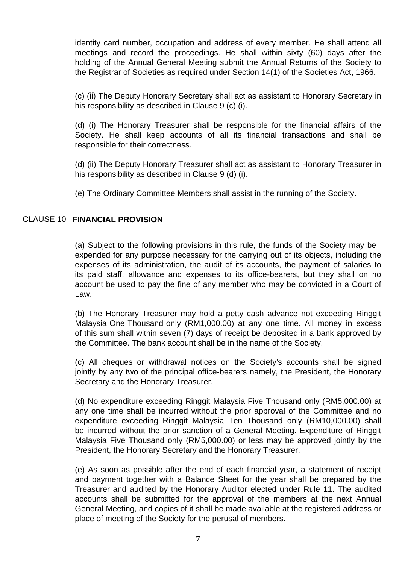identity card number, occupation and address of every member. He shall attend all meetings and record the proceedings. He shall within sixty (60) days after the holding of the Annual General Meeting submit the Annual Returns of the Society to the Registrar of Societies as required under Section 14(1) of the Societies Act, 1966.

(c) (ii) The Deputy Honorary Secretary shall act as assistant to Honorary Secretary in his responsibility as described in Clause 9 (c) (i).

(d) (i) The Honorary Treasurer shall be responsible for the financial affairs of the Society. He shall keep accounts of all its financial transactions and shall be responsible for their correctness.

(d) (ii) The Deputy Honorary Treasurer shall act as assistant to Honorary Treasurer in his responsibility as described in Clause 9 (d) (i).

(e) The Ordinary Committee Members shall assist in the running of the Society.

# CLAUSE 10 **FINANCIAL PROVISION**

(a) Subject to the following provisions in this rule, the funds of the Society may be expended for any purpose necessary for the carrying out of its objects, including the expenses of its administration, the audit of its accounts, the payment of salaries to its paid staff, allowance and expenses to its office-bearers, but they shall on no account be used to pay the fine of any member who may be convicted in a Court of Law.

(b) The Honorary Treasurer may hold a petty cash advance not exceeding Ringgit Malaysia One Thousand only (RM1,000.00) at any one time. All money in excess of this sum shall within seven (7) days of receipt be deposited in a bank approved by the Committee. The bank account shall be in the name of the Society.

(c) All cheques or withdrawal notices on the Society's accounts shall be signed jointly by any two of the principal office-bearers namely, the President, the Honorary Secretary and the Honorary Treasurer.

(d) No expenditure exceeding Ringgit Malaysia Five Thousand only (RM5,000.00) at any one time shall be incurred without the prior approval of the Committee and no expenditure exceeding Ringgit Malaysia Ten Thousand only (RM10,000.00) shall be incurred without the prior sanction of a General Meeting. Expenditure of Ringgit Malaysia Five Thousand only (RM5,000.00) or less may be approved jointly by the President, the Honorary Secretary and the Honorary Treasurer.

(e) As soon as possible after the end of each financial year, a statement of receipt and payment together with a Balance Sheet for the year shall be prepared by the Treasurer and audited by the Honorary Auditor elected under Rule 11. The audited accounts shall be submitted for the approval of the members at the next Annual General Meeting, and copies of it shall be made available at the registered address or place of meeting of the Society for the perusal of members.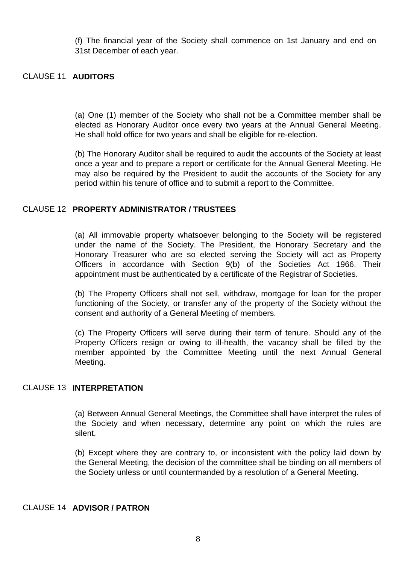(f) The financial year of the Society shall commence on 1st January and end on 31st December of each year.

#### CLAUSE 11 **AUDITORS**

(a) One (1) member of the Society who shall not be a Committee member shall be elected as Honorary Auditor once every two years at the Annual General Meeting. He shall hold office for two years and shall be eligible for re-election.

(b) The Honorary Auditor shall be required to audit the accounts of the Society at least once a year and to prepare a report or certificate for the Annual General Meeting. He may also be required by the President to audit the accounts of the Society for any period within his tenure of office and to submit a report to the Committee.

#### CLAUSE 12 **PROPERTY ADMINISTRATOR / TRUSTEES**

(a) All immovable property whatsoever belonging to the Society will be registered under the name of the Society. The President, the Honorary Secretary and the Honorary Treasurer who are so elected serving the Society will act as Property Officers in accordance with Section 9(b) of the Societies Act 1966. Their appointment must be authenticated by a certificate of the Registrar of Societies.

(b) The Property Officers shall not sell, withdraw, mortgage for loan for the proper functioning of the Society, or transfer any of the property of the Society without the consent and authority of a General Meeting of members.

(c) The Property Officers will serve during their term of tenure. Should any of the Property Officers resign or owing to ill-health, the vacancy shall be filled by the member appointed by the Committee Meeting until the next Annual General Meeting.

## CLAUSE 13 **INTERPRETATION**

(a) Between Annual General Meetings, the Committee shall have interpret the rules of the Society and when necessary, determine any point on which the rules are silent.

(b) Except where they are contrary to, or inconsistent with the policy laid down by the General Meeting, the decision of the committee shall be binding on all members of the Society unless or until countermanded by a resolution of a General Meeting.

#### CLAUSE 14 **ADVISOR / PATRON**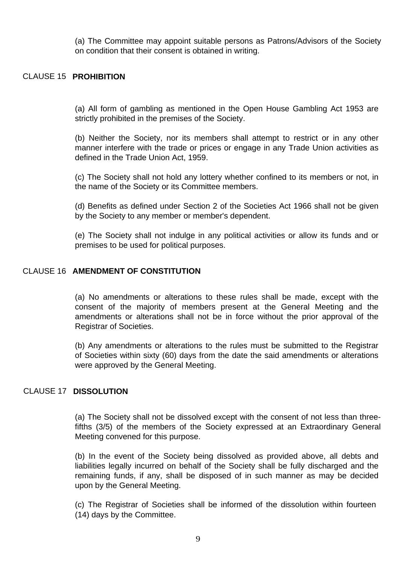(a) The Committee may appoint suitable persons as Patrons/Advisors of the Society on condition that their consent is obtained in writing.

#### CLAUSE 15 **PROHIBITION**

(a) All form of gambling as mentioned in the Open House Gambling Act 1953 are strictly prohibited in the premises of the Society.

(b) Neither the Society, nor its members shall attempt to restrict or in any other manner interfere with the trade or prices or engage in any Trade Union activities as defined in the Trade Union Act, 1959.

(c) The Society shall not hold any lottery whether confined to its members or not, in the name of the Society or its Committee members.

(d) Benefits as defined under Section 2 of the Societies Act 1966 shall not be given by the Society to any member or member's dependent.

(e) The Society shall not indulge in any political activities or allow its funds and or premises to be used for political purposes.

#### CLAUSE 16 **AMENDMENT OF CONSTITUTION**

(a) No amendments or alterations to these rules shall be made, except with the consent of the majority of members present at the General Meeting and the amendments or alterations shall not be in force without the prior approval of the Registrar of Societies.

(b) Any amendments or alterations to the rules must be submitted to the Registrar of Societies within sixty (60) days from the date the said amendments or alterations were approved by the General Meeting.

#### CLAUSE 17 **DISSOLUTION**

(a) The Society shall not be dissolved except with the consent of not less than threefifths (3/5) of the members of the Society expressed at an Extraordinary General Meeting convened for this purpose.

(b) In the event of the Society being dissolved as provided above, all debts and liabilities legally incurred on behalf of the Society shall be fully discharged and the remaining funds, if any, shall be disposed of in such manner as may be decided upon by the General Meeting.

(c) The Registrar of Societies shall be informed of the dissolution within fourteen (14) days by the Committee.